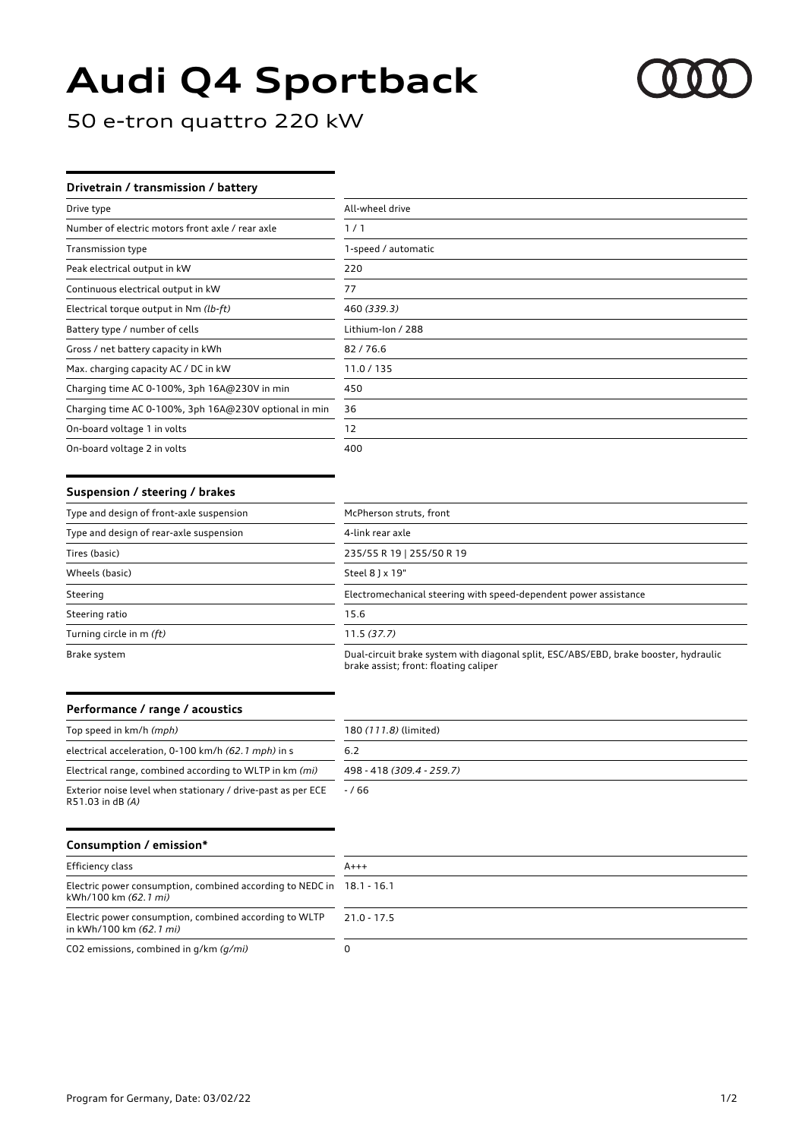# **Audi Q4 Sportback**



50 e-tron quattro 220 kW

## **Drivetrain / transmission / battery**

| Drive type                                            | All-wheel drive     |
|-------------------------------------------------------|---------------------|
| Number of electric motors front axle / rear axle      | 1/1                 |
| <b>Transmission type</b>                              | 1-speed / automatic |
| Peak electrical output in kW                          | 220                 |
| Continuous electrical output in kW                    | 77                  |
| Electrical torque output in Nm (lb-ft)                | 460 (339.3)         |
| Battery type / number of cells                        | Lithium-Ion / 288   |
| Gross / net battery capacity in kWh                   | 82/76.6             |
| Max. charging capacity AC / DC in kW                  | 11.0/135            |
| Charging time AC 0-100%, 3ph 16A@230V in min          | 450                 |
| Charging time AC 0-100%, 3ph 16A@230V optional in min | 36                  |
| On-board voltage 1 in volts                           | 12                  |
| On-board voltage 2 in volts                           | 400                 |

#### **Suspension / steering / brakes**

| Type and design of front-axle suspension | McPherson struts, front                                                                                                       |
|------------------------------------------|-------------------------------------------------------------------------------------------------------------------------------|
| Type and design of rear-axle suspension  | 4-link rear axle                                                                                                              |
| Tires (basic)                            | 235/55 R 19   255/50 R 19                                                                                                     |
| Wheels (basic)                           | Steel 8 ] x 19"                                                                                                               |
| Steering                                 | Electromechanical steering with speed-dependent power assistance                                                              |
| Steering ratio                           | 15.6                                                                                                                          |
| Turning circle in m (ft)                 | 11.5(37.7)                                                                                                                    |
| Brake system                             | Dual-circuit brake system with diagonal split, ESC/ABS/EBD, brake booster, hydraulic<br>brake assist; front: floating caliper |

### **Performance / range / acoustics**

| Top speed in km/h (mph)                                                          | 180 (111.8) (limited)     |
|----------------------------------------------------------------------------------|---------------------------|
| electrical acceleration, 0-100 km/h (62.1 mph) in s                              | 6.2                       |
| Electrical range, combined according to WLTP in km (mi)                          | 498 - 418 (309.4 - 259.7) |
| Exterior noise level when stationary / drive-past as per ECE<br>R51.03 in dB (A) | $-766$                    |

## **Consumption / emission\***

| Efficiency class                                                                              | $A+++$        |
|-----------------------------------------------------------------------------------------------|---------------|
| Electric power consumption, combined according to NEDC in 18.1 - 16.1<br>kWh/100 km (62.1 mi) |               |
| Electric power consumption, combined according to WLTP<br>in kWh/100 km (62.1 mi)             | $21.0 - 17.5$ |
| CO2 emissions, combined in $q/km$ ( $q/mi$ )                                                  |               |